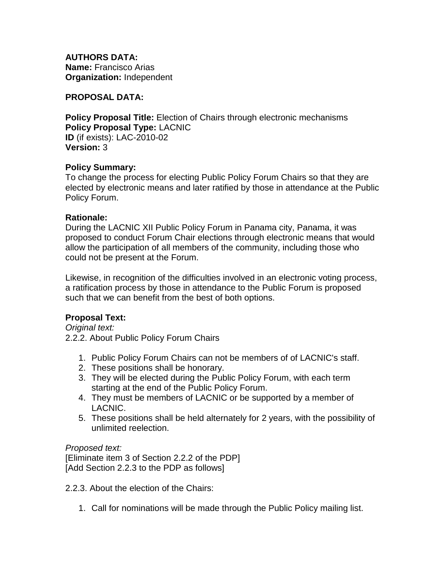**AUTHORS DATA: Name:** Francisco Arias **Organization:** Independent

### **PROPOSAL DATA:**

**Policy Proposal Title:** Election of Chairs through electronic mechanisms **Policy Proposal Type:** LACNIC **ID** (if exists): LAC-2010-02 **Version:** 3

### **Policy Summary:**

To change the process for electing Public Policy Forum Chairs so that they are elected by electronic means and later ratified by those in attendance at the Public Policy Forum.

### **Rationale:**

During the LACNIC XII Public Policy Forum in Panama city, Panama, it was proposed to conduct Forum Chair elections through electronic means that would allow the participation of all members of the community, including those who could not be present at the Forum.

Likewise, in recognition of the difficulties involved in an electronic voting process, a ratification process by those in attendance to the Public Forum is proposed such that we can benefit from the best of both options.

# **Proposal Text:**

*Original text:* 2.2.2. About Public Policy Forum Chairs

- 1. Public Policy Forum Chairs can not be members of of LACNIC's staff.
- 2. These positions shall be honorary.
- 3. They will be elected during the Public Policy Forum, with each term starting at the end of the Public Policy Forum.
- 4. They must be members of LACNIC or be supported by a member of LACNIC.
- 5. These positions shall be held alternately for 2 years, with the possibility of unlimited reelection.

# *Proposed text:*

[Eliminate item 3 of Section 2.2.2 of the PDP] [Add Section 2.2.3 to the PDP as follows]

2.2.3. About the election of the Chairs:

1. Call for nominations will be made through the Public Policy mailing list.